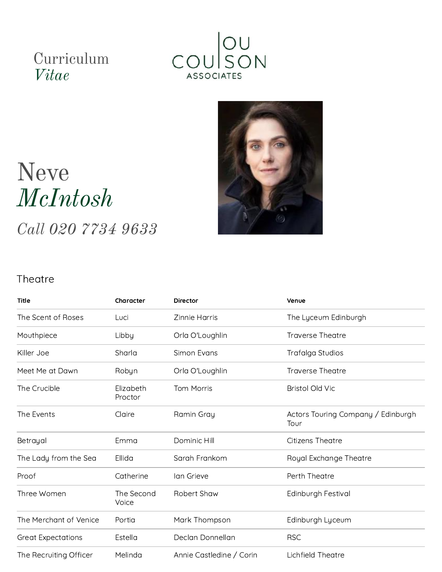# Curriculum *Vitae*





# Neve *McIntosh*

*Call 020 7734 9633*

#### **Theatre**

| <b>Title</b>              | Character            | <b>Director</b>          | Venue                                      |
|---------------------------|----------------------|--------------------------|--------------------------------------------|
| The Scent of Roses        | Luci                 | Zinnie Harris            | The Lyceum Edinburgh                       |
| Mouthpiece                | Libby                | Orla O'Loughlin          | <b>Traverse Theatre</b>                    |
| Killer Joe                | Sharla               | Simon Evans              | Trafalga Studios                           |
| Meet Me at Dawn           | Robyn                | Orla O'Loughlin          | <b>Traverse Theatre</b>                    |
| The Crucible              | Elizabeth<br>Proctor | <b>Tom Morris</b>        | <b>Bristol Old Vic</b>                     |
| The Events                | Claire               | Ramin Gray               | Actors Touring Company / Edinburgh<br>Tour |
| Betrayal                  | Emma                 | Dominic Hill             | <b>Citizens Theatre</b>                    |
| The Lady from the Sea     | Ellida               | Sarah Frankom            | Royal Exchange Theatre                     |
| Proof                     | Catherine            | lan Grieve               | Perth Theatre                              |
| Three Women               | The Second<br>Voice  | Robert Shaw              | Edinburgh Festival                         |
| The Merchant of Venice    | Portia               | Mark Thompson            | Edinburgh Lyceum                           |
| <b>Great Expectations</b> | Estella              | Declan Donnellan         | <b>RSC</b>                                 |
| The Recruiting Officer    | Melinda              | Annie Castledine / Corin | <b>Lichfield Theatre</b>                   |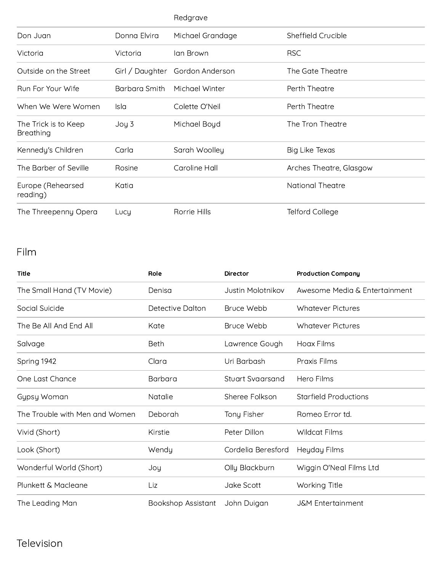|                                          |                 | Redgrave         |                         |
|------------------------------------------|-----------------|------------------|-------------------------|
| Don Juan                                 | Donna Elvira    | Michael Grandage | Sheffield Crucible      |
| Victoria                                 | Victoria        | Ian Brown        | <b>RSC</b>              |
| Outside on the Street                    | Girl / Daughter | Gordon Anderson  | The Gate Theatre        |
| Run For Your Wife                        | Barbara Smith   | Michael Winter   | Perth Theatre           |
| When We Were Women                       | Isla            | Colette O'Neil   | Perth Theatre           |
| The Trick is to Keep<br><b>Breathing</b> | Joy 3           | Michael Boyd     | The Tron Theatre        |
| Kennedy's Children                       | Carla           | Sarah Woolley    | Big Like Texas          |
| The Barber of Seville                    | Rosine          | Caroline Hall    | Arches Theatre, Glasgow |
| Europe (Rehearsed<br>reading)            | Katia           |                  | <b>National Theatre</b> |
| The Threepenny Opera                     | Lucy            | Rorrie Hills     | <b>Telford College</b>  |

## Film

| <b>Title</b>                   | Role               | <b>Director</b>    | <b>Production Company</b>     |
|--------------------------------|--------------------|--------------------|-------------------------------|
| The Small Hand (TV Movie)      | Denisa             | Justin Molotnikov  | Awesome Media & Entertainment |
| Social Suicide                 | Detective Dalton   | Bruce Webb         | Whatever Pictures             |
| The Be All And Fnd All         | Kate               | Bruce Webb         | Whatever Pictures             |
| Salvage                        | Beth               | Lawrence Gough     | Hoax Films                    |
| Spring 1942                    | Clara              | Uri Barbash        | Praxis Films                  |
| One Last Chance                | Barbara            | Stuart Svaarsand   | Hero Films                    |
| Gypsy Woman                    | <b>Natalie</b>     | Sheree Folkson     | <b>Starfield Productions</b>  |
| The Trouble with Men and Women | Deborah            | Tony Fisher        | Romeo Error td.               |
| Vivid (Short)                  | Kirstie            | Peter Dillon       | Wildcat Films                 |
| Look (Short)                   | Wendy              | Cordelia Beresford | Heyday Films                  |
| Wonderful World (Short)        | Joy                | Olly Blackburn     | Wiggin O'Neal Films Ltd       |
| Plunkett & Macleane            | Liz                | Jake Scott         | Working Title                 |
| The Leading Man                | Bookshop Assistant | John Duigan        | <b>J&amp;M</b> Entertainment  |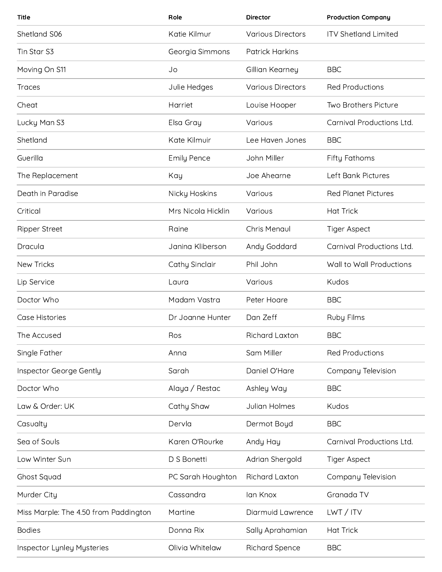| Title                                 | Role               | <b>Director</b>          | <b>Production Company</b>   |
|---------------------------------------|--------------------|--------------------------|-----------------------------|
| Shetland S06                          | Katie Kilmur       | <b>Various Directors</b> | <b>ITV Shetland Limited</b> |
| Tin Star S3                           | Georgia Simmons    | <b>Patrick Harkins</b>   |                             |
| Moving On S11                         | Jo                 | Gillian Kearney          | <b>BBC</b>                  |
| <b>Traces</b>                         | Julie Hedges       | <b>Various Directors</b> | <b>Red Productions</b>      |
| Cheat                                 | Harriet            | Louise Hooper            | Two Brothers Picture        |
| Lucky Man S3                          | Elsa Gray          | Various                  | Carnival Productions Ltd.   |
| Shetland                              | Kate Kilmuir       | Lee Haven Jones          | <b>BBC</b>                  |
| Guerilla                              | <b>Emily Pence</b> | John Miller              | <b>Fifty Fathoms</b>        |
| The Replacement                       | Kay                | Joe Ahearne              | Left Bank Pictures          |
| Death in Paradise                     | Nicky Hoskins      | Various                  | <b>Red Planet Pictures</b>  |
| Critical                              | Mrs Nicola Hicklin | Various                  | <b>Hat Trick</b>            |
| <b>Ripper Street</b>                  | Raine              | Chris Menaul             | <b>Tiger Aspect</b>         |
| Dracula                               | Janina Kliberson   | Andy Goddard             | Carnival Productions Ltd.   |
| New Tricks                            | Cathy Sinclair     | Phil John                | Wall to Wall Productions    |
| Lip Service                           | Laura              | Various                  | Kudos                       |
| Doctor Who                            | Madam Vastra       | Peter Hoare              | <b>BBC</b>                  |
| Case Histories                        | Dr Joanne Hunter   | Dan Zeff                 | Ruby Films                  |
| The Accused                           | Ros                | Richard Laxton           | <b>BBC</b>                  |
| Single Father                         | Anna               | Sam Miller               | <b>Red Productions</b>      |
| Inspector George Gently               | Sarah              | Daniel O'Hare            | Company Television          |
| Doctor Who                            | Alaya / Restac     | Ashley Way               | <b>BBC</b>                  |
| Law & Order: UK                       | Cathy Shaw         | Julian Holmes            | Kudos                       |
| Casualty                              | Dervla             | Dermot Boyd              | <b>BBC</b>                  |
| Sea of Souls                          | Karen O'Rourke     | Andy Hay                 | Carnival Productions Ltd.   |
| Low Winter Sun                        | D S Bonetti        | Adrian Shergold          | <b>Tiger Aspect</b>         |
| Ghost Squad                           | PC Sarah Houghton  | <b>Richard Laxton</b>    | Company Television          |
| Murder City                           | Cassandra          | lan Knox                 | Granada TV                  |
| Miss Marple: The 4.50 from Paddington | Martine            | Diarmuid Lawrence        | LWT / ITV                   |
| <b>Bodies</b>                         | Donna Rix          | Sally Aprahamian         | <b>Hat Trick</b>            |
| <b>Inspector Lynley Mysteries</b>     | Olivia Whitelaw    | <b>Richard Spence</b>    | <b>BBC</b>                  |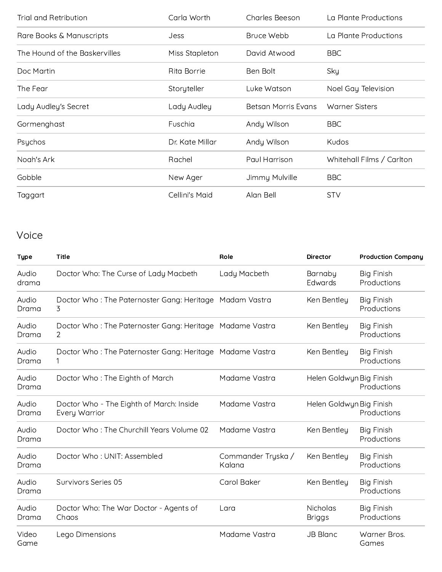| Trial and Retribution         | Carla Worth<br><b>Charles Beeson</b> |                     | La Plante Productions     |  |
|-------------------------------|--------------------------------------|---------------------|---------------------------|--|
| Rare Books & Manuscripts      | <b>Jess</b>                          | Bruce Webb          | La Plante Productions     |  |
| The Hound of the Baskervilles | Miss Stapleton                       | David Atwood        | <b>BBC</b>                |  |
| Doc Martin                    | <b>Rita Borrie</b>                   | Ben Bolt            | Sky                       |  |
| The Fear                      | Storyteller                          | Luke Watson         | Noel Gay Television       |  |
| Lady Audley's Secret          | Lady Audley                          | Betsan Morris Evans | <b>Warner Sisters</b>     |  |
| Gormenghast                   | Fuschia                              | Andy Wilson         | <b>BBC</b>                |  |
| Psychos                       | Dr. Kate Millar                      | Andy Wilson         | Kudos                     |  |
| Noah's Ark                    | Rachel                               | Paul Harrison       | Whitehall Films / Carlton |  |
| Gobble                        | New Ager                             | Jimmy Mulville      | <b>BBC</b>                |  |
| Taggart                       | Cellini's Maid                       | Alan Bell           | <b>STV</b>                |  |

## Voice

| <b>Type</b>    | <b>Title</b>                                                  | Role                         | <b>Director</b>           | <b>Production Company</b>        |
|----------------|---------------------------------------------------------------|------------------------------|---------------------------|----------------------------------|
| Audio<br>drama | Doctor Who: The Curse of Lady Macbeth                         | Lady Macbeth                 | Barnaby<br>Edwards        | <b>Big Finish</b><br>Productions |
| Audio<br>Drama | Doctor Who: The Paternoster Gang: Heritage Madam Vastra<br>3  |                              | Ken Bentley               | <b>Big Finish</b><br>Productions |
| Audio<br>Drama | Doctor Who: The Paternoster Gang: Heritage Madame Vastra<br>2 |                              | Ken Bentley               | <b>Big Finish</b><br>Productions |
| Audio<br>Drama | Doctor Who: The Paternoster Gang: Heritage Madame Vastra      |                              | Ken Bentley               | <b>Big Finish</b><br>Productions |
| Audio<br>Drama | Doctor Who: The Eighth of March                               | Madame Vastra                | Helen Goldwyn Big Finish  | Productions                      |
| Audio<br>Drama | Doctor Who - The Eighth of March: Inside<br>Every Warrior     | Madame Vastra                | Helen Goldwyn Big Finish  | Productions                      |
| Audio<br>Drama | Doctor Who: The Churchill Years Volume 02                     | Madame Vastra                | Ken Bentley               | <b>Big Finish</b><br>Productions |
| Audio<br>Drama | Doctor Who: UNIT: Assembled                                   | Commander Tryska /<br>Kalana | Ken Bentley               | <b>Big Finish</b><br>Productions |
| Audio<br>Drama | Survivors Series 05                                           | Carol Baker                  | Ken Bentley               | <b>Big Finish</b><br>Productions |
| Audio<br>Drama | Doctor Who: The War Doctor - Agents of<br>Chaos               | Lara                         | Nicholas<br><b>Briggs</b> | <b>Big Finish</b><br>Productions |
| Video<br>Game  | Lego Dimensions                                               | Madame Vastra                | <b>JB Blanc</b>           | Warner Bros.<br>Games            |